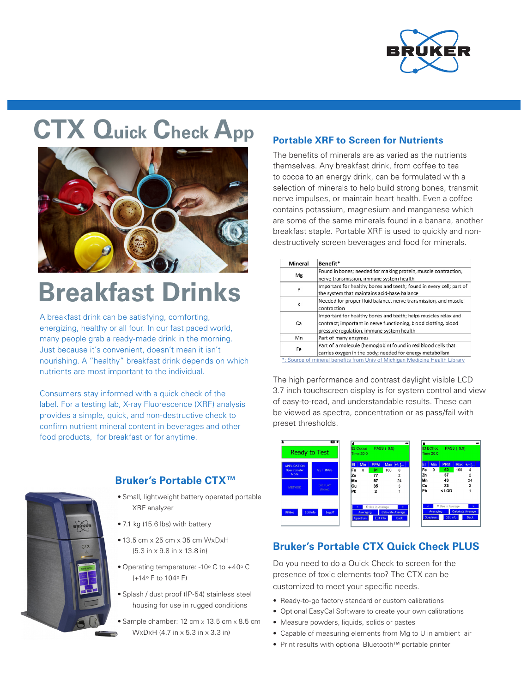

# **CTX Quick Check App**



# **Breakfast Drinks**

A breakfast drink can be satisfying, comforting, energizing, healthy or all four. In our fast paced world, many people grab a ready-made drink in the morning. Just because it's convenient, doesn't mean it isn't nourishing. A "healthy" breakfast drink depends on which nutrients are most important to the individual.

Consumers stay informed with a quick check of the label. For a testing lab, X-ray Fluorescence (XRF) analysis provides a simple, quick, and non-destructive check to confirm nutrient mineral content in beverages and other food products, for breakfast or for anytime.



### **Bruker's Portable CTX™**

- Small, lightweight battery operated portable XRF analyzer
- 7.1 kg (15.6 lbs) with battery
- 13.5 cm x 25 cm x 35 cm WxDxH (5.3 in x 9.8 in x 13.8 in)
- Operating temperature: -10° C to +40° C (+14o F to 104o F)
- Splash / dust proof (IP-54) stainless steel housing for use in rugged conditions
- Sample chamber: 12 cm x 13.5 cm x 8.5 cm WxDxH (4.7 in x 5.3 in x 3.3 in)

## **Portable XRF to Screen for Nutrients**

The benefits of minerals are as varied as the nutrients themselves. Any breakfast drink, from coffee to tea to cocoa to an energy drink, can be formulated with a selection of minerals to help build strong bones, transmit nerve impulses, or maintain heart health. Even a coffee contains potassium, magnesium and manganese which are some of the same minerals found in a banana, another breakfast staple. Portable XRF is used to quickly and nondestructively screen beverages and food for minerals.

| Mineral                                                                     | Benefit*                                                            |
|-----------------------------------------------------------------------------|---------------------------------------------------------------------|
| Mg                                                                          | Found in bones; needed for making protein, muscle contraction,      |
|                                                                             | nerve transmission, immune system health                            |
| P                                                                           | Important for healthy bones and teeth; found in every cell; part of |
|                                                                             | the system that maintains acid-base balance                         |
| K                                                                           | Needed for proper fluid balance, nerve transmission, and muscle     |
|                                                                             | contraction                                                         |
| Ca                                                                          | Important for healthy bones and teeth; helps muscles relax and      |
|                                                                             | contract; important in nerve functioning, blood clotting, blood     |
|                                                                             | pressure regulation, immune system health                           |
| Mn                                                                          | Part of many enzymes                                                |
| Fe                                                                          | Part of a molecule (hemoglobin) found in red blood cells that       |
|                                                                             | carries oxygen in the body; needed for energy metabolism            |
| *: Source of mineral benefits from Univ of Michigan Medicine Health Library |                                                                     |

The high performance and contrast daylight visible LCD 3.7 inch touchscreen display is for system control and view of easy-to-read, and understandable results. These can be viewed as spectra, concentration or as pass/fail with preset thresholds.



# **Bruker's Portable CTX Quick Check PLUS**

Do you need to do a Quick Check to screen for the presence of toxic elements too? The CTX can be customized to meet your specific needs.

- Ready-to-go factory standard or custom calibrations
- Optional EasyCal Software to create your own calibrations
- Measure powders, liquids, solids or pastes
- Capable of measuring elements from Mg to U in ambient air
- Print results with optional Bluetooth™ portable printer